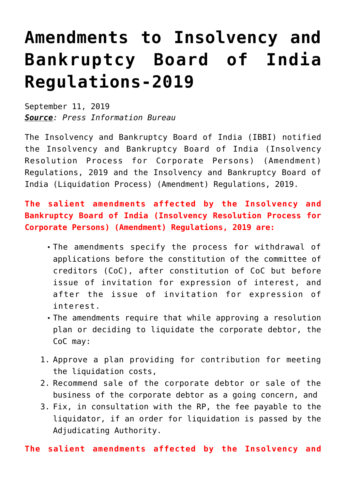## **[Amendments to Insolvency and](https://journalsofindia.com/amendments-to-insolvency-and-bankruptcy-board-of-india-regulations-2019/) [Bankruptcy Board of India](https://journalsofindia.com/amendments-to-insolvency-and-bankruptcy-board-of-india-regulations-2019/) [Regulations-2019](https://journalsofindia.com/amendments-to-insolvency-and-bankruptcy-board-of-india-regulations-2019/)**

September 11, 2019 *Source: Press Information Bureau*

The Insolvency and Bankruptcy Board of India (IBBI) notified the Insolvency and Bankruptcy Board of India (Insolvency Resolution Process for Corporate Persons) (Amendment) Regulations, 2019 and the Insolvency and Bankruptcy Board of India (Liquidation Process) (Amendment) Regulations, 2019.

**The salient amendments affected by the Insolvency and Bankruptcy Board of India (Insolvency Resolution Process for Corporate Persons) (Amendment) Regulations, 2019 are:**

- The amendments specify the process for withdrawal of applications before the constitution of the committee of creditors (CoC), after constitution of CoC but before issue of invitation for expression of interest, and after the issue of invitation for expression of interest.
- The amendments require that while approving a resolution plan or deciding to liquidate the corporate debtor, the CoC may:
- 1. Approve a plan providing for contribution for meeting the liquidation costs,
- 2. Recommend sale of the corporate debtor or sale of the business of the corporate debtor as a going concern, and
- 3. Fix, in consultation with the RP, the fee payable to the liquidator, if an order for liquidation is passed by the Adjudicating Authority.

**The salient amendments affected by the Insolvency and**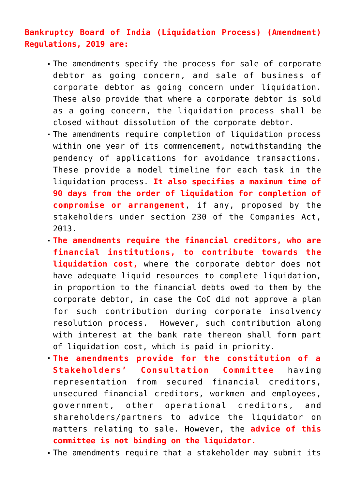## **Bankruptcy Board of India (Liquidation Process) (Amendment) Regulations, 2019 are:**

- The amendments specify the process for sale of corporate debtor as going concern, and sale of business of corporate debtor as going concern under liquidation. These also provide that where a corporate debtor is sold as a going concern, the liquidation process shall be closed without dissolution of the corporate debtor.
- The amendments require completion of liquidation process within one year of its commencement, notwithstanding the pendency of applications for avoidance transactions. These provide a model timeline for each task in the liquidation process. **It also specifies a maximum time of 90 days from the order of liquidation for completion of compromise or arrangement**, if any, proposed by the stakeholders under section 230 of the Companies Act, 2013.
- **The amendments require the financial creditors, who are financial institutions, to contribute towards the liquidation cost,** where the corporate debtor does not have adequate liquid resources to complete liquidation, in proportion to the financial debts owed to them by the corporate debtor, in case the CoC did not approve a plan for such contribution during corporate insolvency resolution process. However, such contribution along with interest at the bank rate thereon shall form part of liquidation cost, which is paid in priority.
- **The amendments provide for the constitution of a Stakeholders' Consultation Committee** having representation from secured financial creditors, unsecured financial creditors, workmen and employees, government, other operational creditors, and shareholders/partners to advice the liquidator on matters relating to sale. However, the **advice of this committee is not binding on the liquidator.**
- The amendments require that a stakeholder may submit its